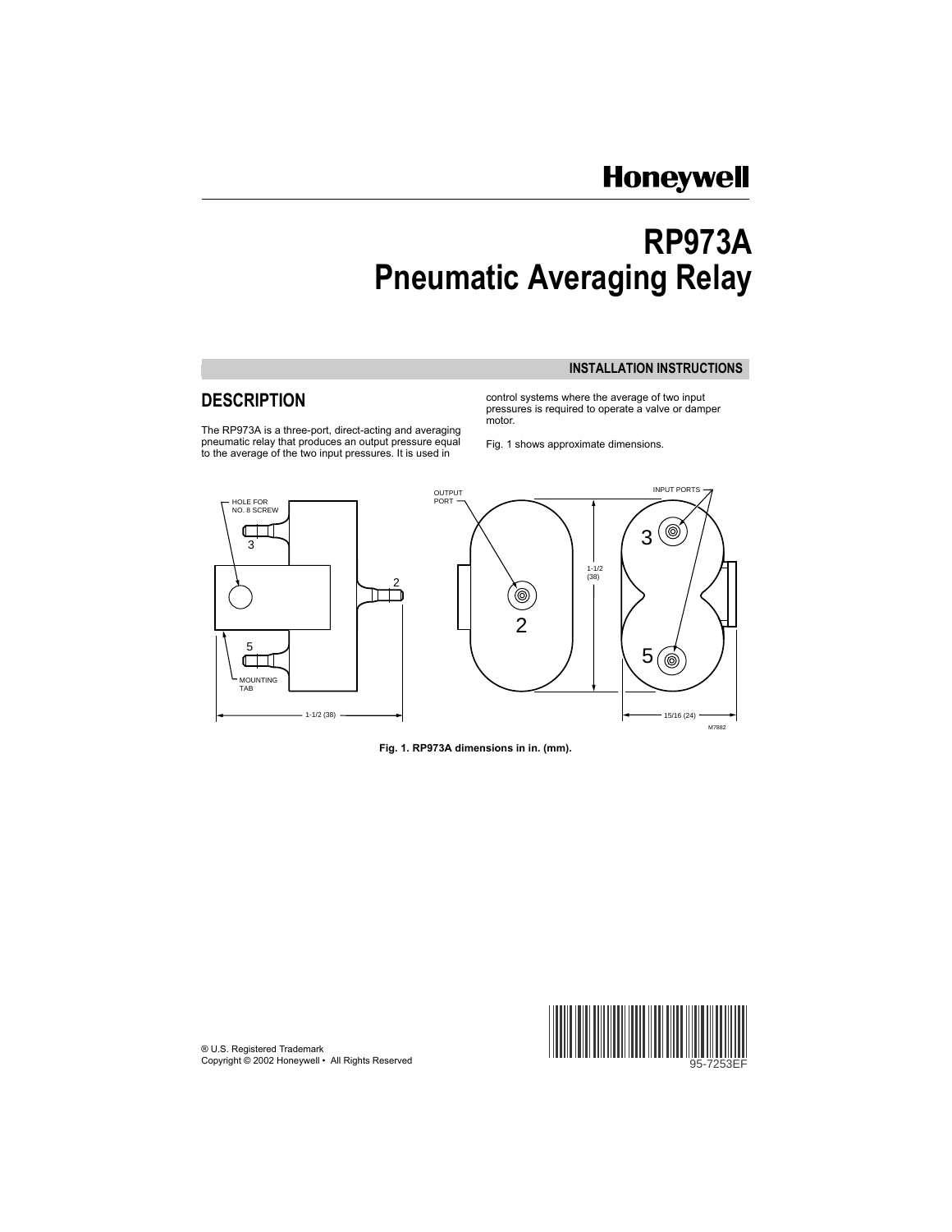# **Honeywell**

# **RP973A Pneumatic Averaging Relay**

#### **INSTALLATION INSTRUCTIONS**

The RP973A is a three-port, direct-acting and averaging<br>pneumatic relay that produces an output pressure equal pneumatic relay that produces an output pressure equal Fig. 1 shows approximate dimensions.<br>to the average of the two input pressures. It is used in

**DESCRIPTION CONTROLLER CONTROLLER CONTROLLER CONTROLLER CONTROLLER CONTROLLER CONTROLLER CONTROLLER CONTROLLER CONTROLLER CONTROLLER CONTROLLER CONTROLLER CONTROLLER CONTROLLER CONTROLLER CONTROLLER CONTROLLER CONTROLLE** pressures is required to operate a valve or damper motor.



**Fig. 1. RP973A dimensions in in. (mm).** 

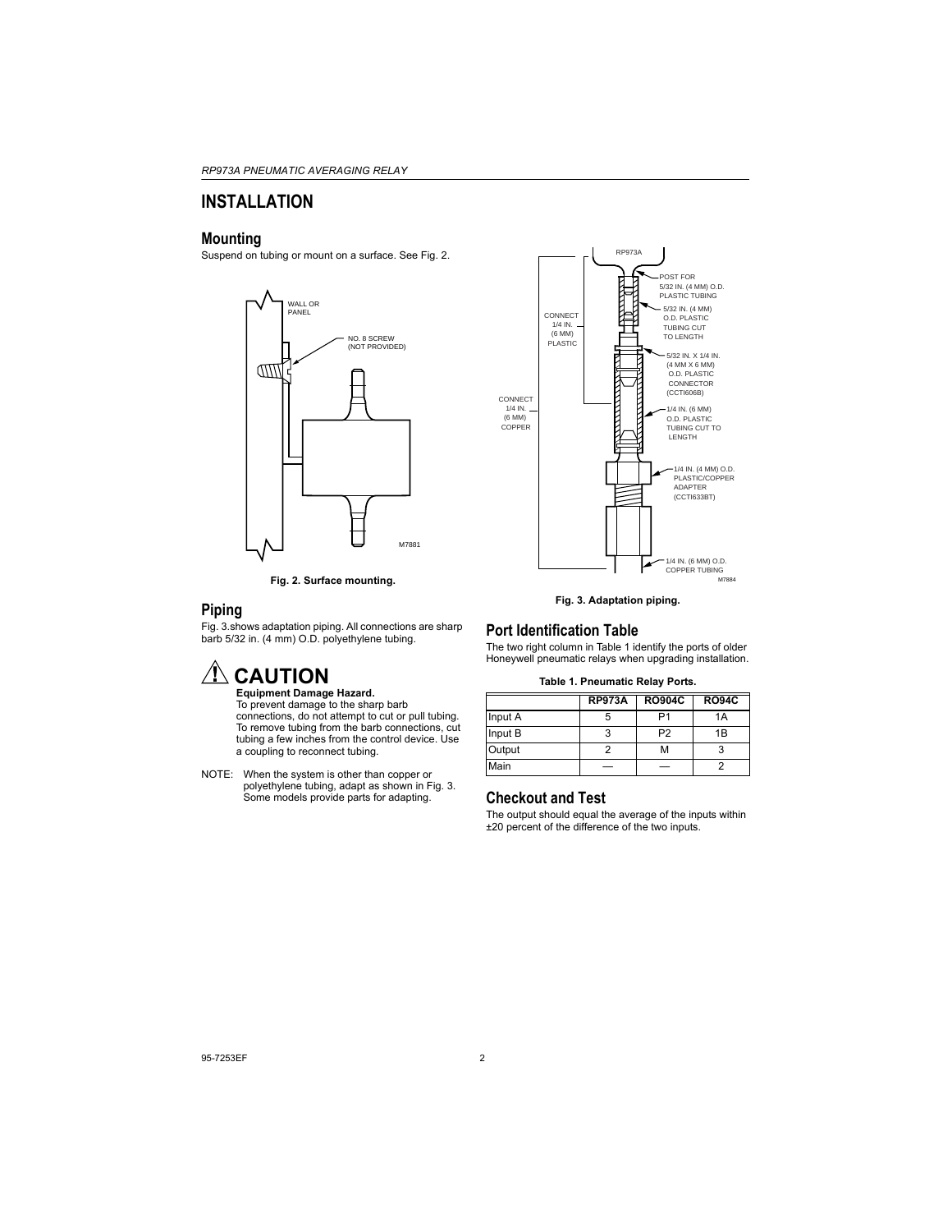## **INSTALLATION**

### **Mounting**

Suspend on tubing or mount on a surface. See Fig. 2.



**Fig. 2. Surface mounting.** 

### **Piping**

Fig. 3.shows adaptation piping. All connections are sharp barb 5/32 in. (4 mm) O.D. polyethylene tubing.

# $^\prime\hspace{-1.5pt}\Lambda$  CAUTION

**Equipment Damage Hazard.** To prevent damage to the sharp barb connections, do not attempt to cut or pull tubing. To remove tubing from the barb connections, cut tubing a few inches from the control device. Use a coupling to reconnect tubing.

NOTE: When the system is other than copper or polyethylene tubing, adapt as shown in Fig. 3. Some models provide parts for adapting.



**Fig. 3. Adaptation piping.** 

### **Port Identification Table**

The two right column in Table 1 identify the ports of older Honeywell pneumatic relays when upgrading installation.

#### **Table 1. Pneumatic Relay Ports.**

|         | <b>RP973A</b> | <b>RO904C</b>  | <b>RO94C</b> |
|---------|---------------|----------------|--------------|
| Input A |               | P <sub>1</sub> | 1A           |
| Input B | 3             | P <sub>2</sub> | 1B           |
| Output  |               | м              | 3            |
| Main    |               |                | 2            |

### **Checkout and Test**

The output should equal the average of the inputs within ±20 percent of the difference of the two inputs.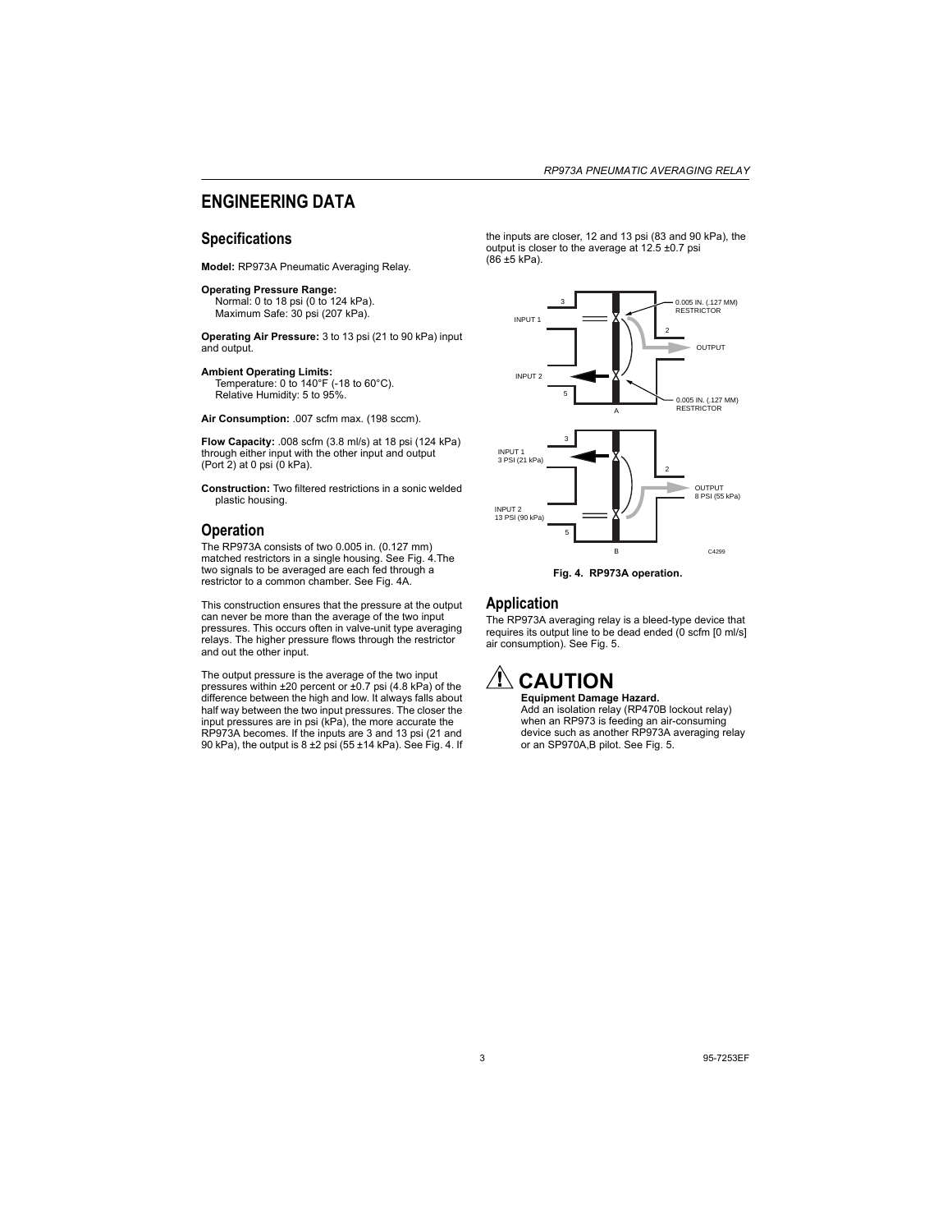### **ENGINEERING DATA**

### **Specifications**

**Model:** RP973A Pneumatic Averaging Relay.

#### **Operating Pressure Range:**

Normal: 0 to 18 psi (0 to 124 kPa). Maximum Safe: 30 psi (207 kPa).

**Operating Air Pressure:** 3 to 13 psi (21 to 90 kPa) input and output.

#### **Ambient Operating Limits:**

Temperature: 0 to 140°F (-18 to 60°C). Relative Humidity: 5 to 95%.

**Air Consumption:** .007 scfm max. (198 sccm).

**Flow Capacity:** .008 scfm (3.8 ml/s) at 18 psi (124 kPa) through either input with the other input and output (Port 2) at 0 psi (0 kPa).

**Construction:** Two filtered restrictions in a sonic welded plastic housing.

### **Operation**

The RP973A consists of two 0.005 in. (0.127 mm) matched restrictors in a single housing. See Fig. 4.The two signals to be averaged are each fed through a restrictor to a common chamber. See Fig. 4A.

This construction ensures that the pressure at the output can never be more than the average of the two input pressures. This occurs often in valve-unit type averaging relays. The higher pressure flows through the restrictor and out the other input.

The output pressure is the average of the two input pressures within ±20 percent or ±0.7 psi (4.8 kPa) of the difference between the high and low. It always falls about half way between the two input pressures. The closer the input pressures are in psi (kPa), the more accurate the RP973A becomes. If the inputs are 3 and 13 psi (21 and 90 kPa), the output is  $8 \pm 2$  psi (55  $\pm$ 14 kPa). See Fig. 4. If the inputs are closer, 12 and 13 psi (83 and 90 kPa), the output is closer to the average at 12.5 ±0.7 psi (86 ±5 kPa).





### **Application**

The RP973A averaging relay is a bleed-type device that requires its output line to be dead ended (0 scfm [0 ml/s] air consumption). See Fig. 5.

# **CAUTION**

**Equipment Damage Hazard.** Add an isolation relay (RP470B lockout relay) when an RP973 is feeding an air-consuming device such as another RP973A averaging relay or an SP970A,B pilot. See Fig. 5.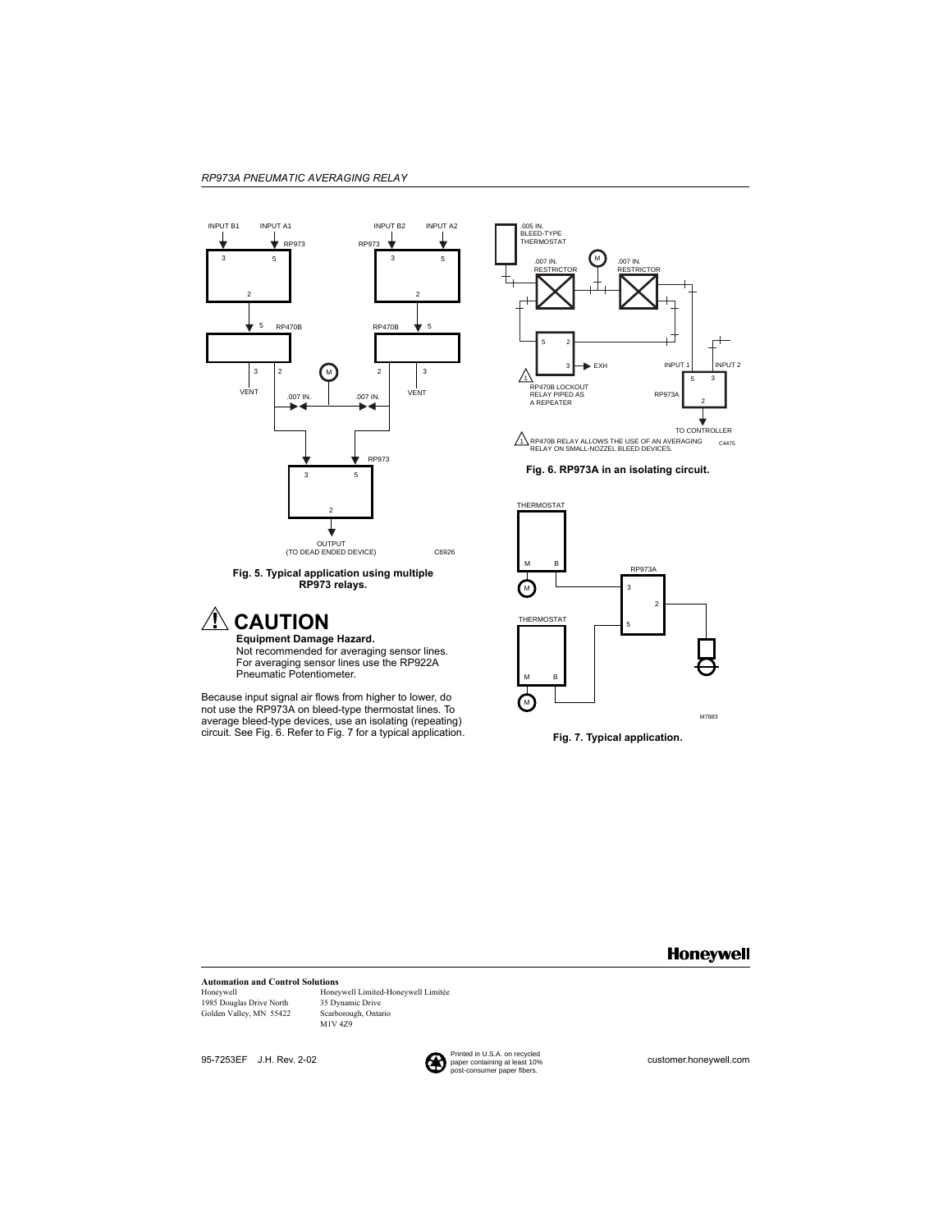



# **CAUTION**

**Equipment Damage Hazard.** Not recommended for averaging sensor lines. For averaging sensor lines use the RP922A Pneumatic Potentiometer.

Because input signal air flows from higher to lower, do not use the RP973A on bleed-type thermostat lines. To average bleed-type devices, use an isolating (repeating) circuit. See Fig. 6. Refer to Fig. 7 for a typical application. **Fig. 7. Typical application.** 



**Fig. 6. RP973A in an isolating circuit.** 



### **Honeywell**

### **Automation and Control Solutions**

1985 Douglas Drive North 35 Dynamic Drive<br>
Golden Valley, MN 55422 Scarborough, Ontario Golden Valley, MN 55422

Honeywell Honeywell Limited-Honeywell Limitée M1V 4Z9

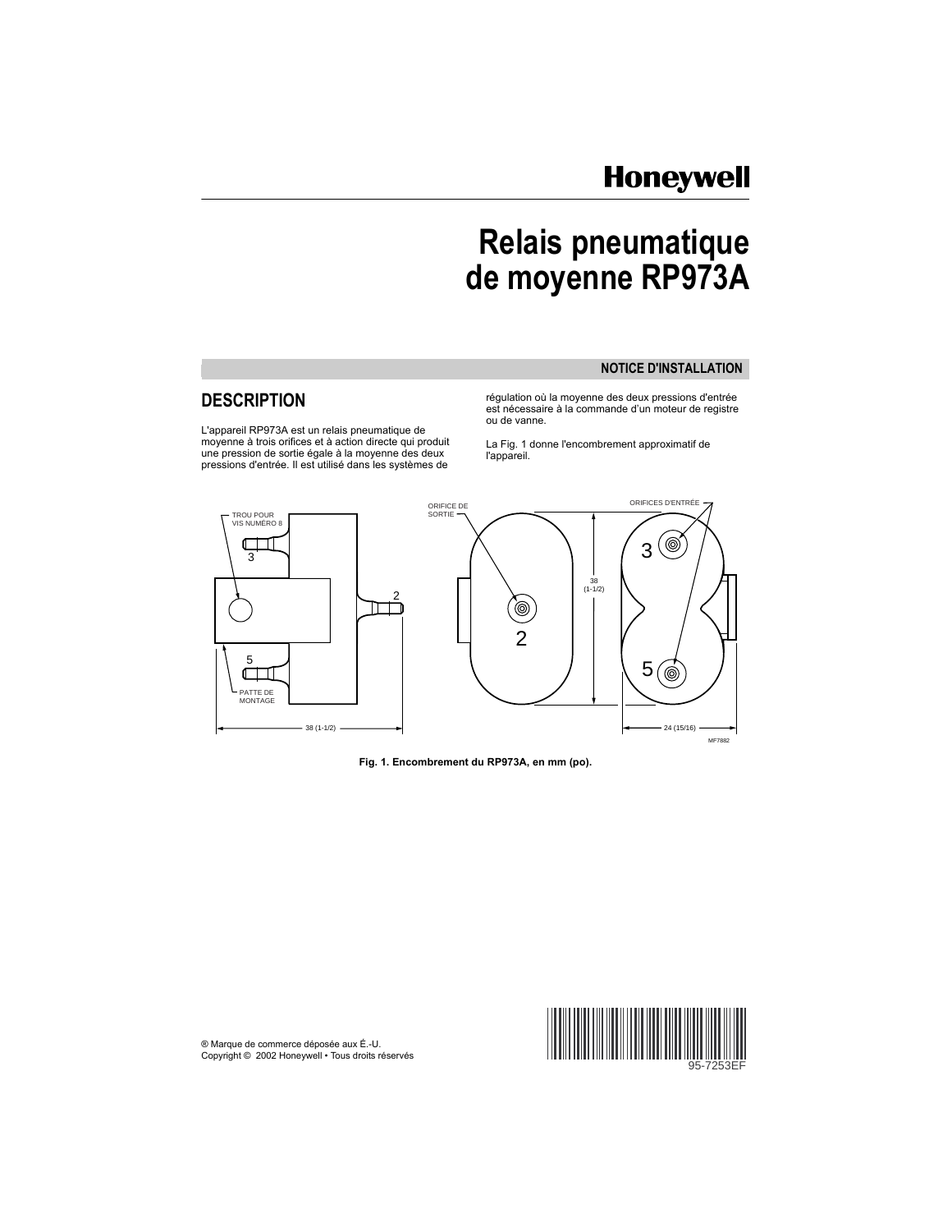# **Honeywell**

# **Relais pneumatique de moyenne RP973A**

### **NOTICE D'INSTAL LATION**

L'appareil RP973A est un relais pneumatique de<br>moyenne à trois orifices et à action directe qui produit moyenne à trois orifices et à action directe qui produit La Fig. 1 donne l'encombrement approximatif de une pr<br>une pression de sortie égale à la moyenne des deux l'appareil.<br>pressions d'entrée. Il est utilisé dans les syst

DESCRIPTION **régulation où la moyenne des deux pressions d'entrée** est nécessaire à la commande d'un moteur de registre ou de vanne.



**Fig. 1. Encombrement du RP973A, en mm (po).** 

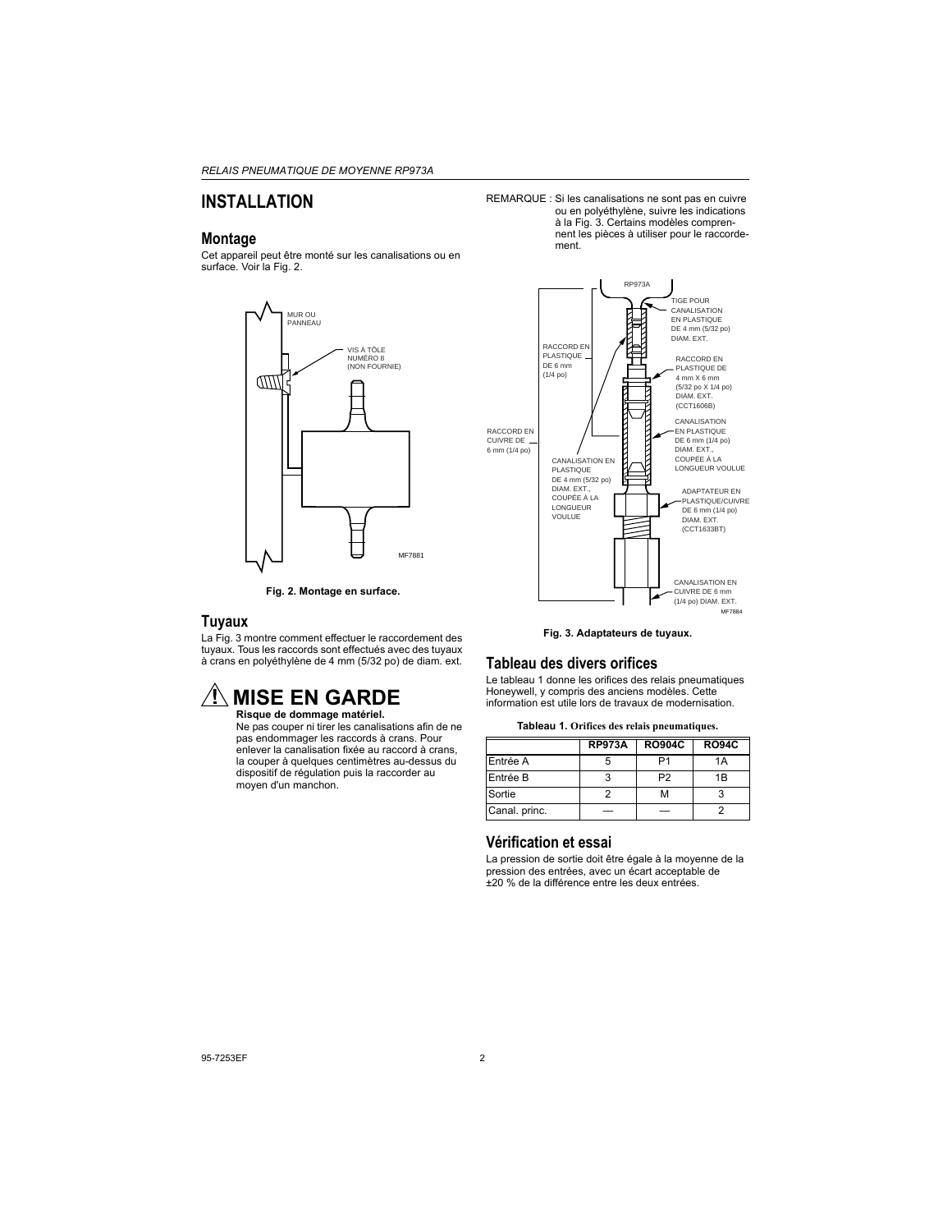## **INSTALLATION**

### **Montage**

Cet appareil peut être monté sur les canalisations ou en surface. Voir la Fig. 2.





### **Tuyaux**

La Fig. 3 montre comment effectuer le raccordement des tuyaux. Tous les raccords sont effectués avec des tuyaux à crans en polyéthylène de 4 mm (5/32 po) de diam. ext.

# **MISE EN GARDE**

**Risque de dommage matériel.** Ne pas couper ni tirer les canalisations afin de ne pas endommager les raccords à crans. Pour enlever la canalisation fixée au raccord à crans, la couper à quelques centimètres au-dessus du dispositif de régulation puis la raccorder au moyen d'un manchon.

REMARQUE : Si les canalisations ne sont pas en cuivre ou en polyéthylène, suivre les indications à la Fig. 3. Certains modèles comprennent les pièces à utiliser pour le raccordement.



**Fig. 3. Adaptateurs de tuyaux.** 

### **Tableau des divers orifices**

Le tableau 1 donne les orifices des relais pneumatiques Honeywell, y compris des anciens modèles. Cette information est utile lors de travaux de modernisation.

|  |  |  | Tableau 1. Orifices des relais pneumatiques. |
|--|--|--|----------------------------------------------|
|--|--|--|----------------------------------------------|

|               | <b>RP973A</b> | <b>RO904C</b>  | <b>RO94C</b>   |
|---------------|---------------|----------------|----------------|
| Entrée A      | 5             | P1             | 1A             |
| Entrée B      | 3             | P <sub>2</sub> | 1 <sub>R</sub> |
| Sortie        |               | м              |                |
| Canal. princ. |               |                |                |

### **Vérification et essai**

La pression de sortie doit être égale à la moyenne de la pression des entrées, avec un écart acceptable de ±20 % de la différence entre les deux entrées.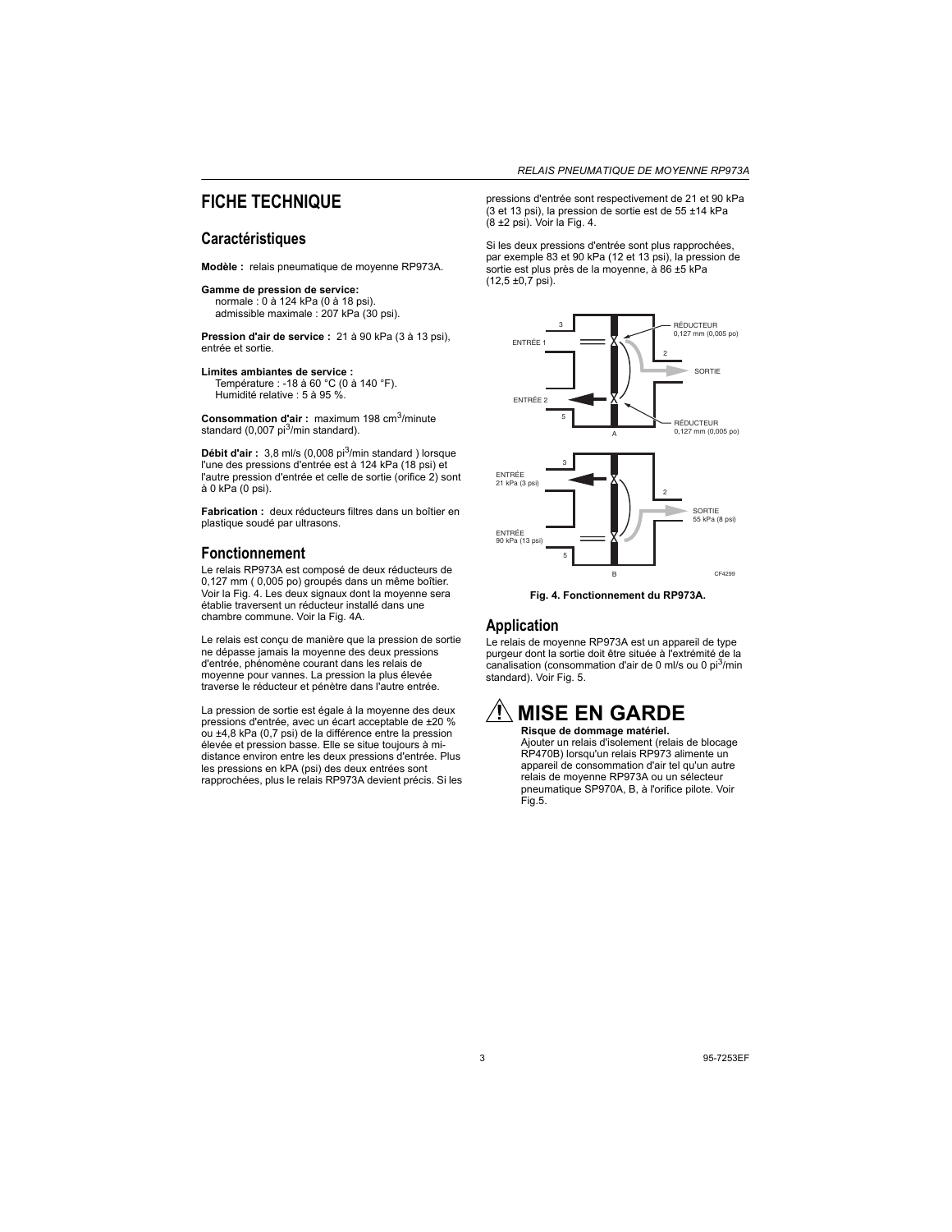### **FICHE TECHNIQUE**

### **Caractéristiques**

**Modèle :** relais pneumatique de moyenne RP973A.

#### **Gamme de pression de service:**

normale : 0 à 124 kPa (0 à 18 psi). admissible maximale : 207 kPa (30 psi).

**Pression d'air de service :** 21 à 90 kPa (3 à 13 psi), entrée et sortie.

**Limites ambiantes de service :**  Température : -18 à 60 °C (0 à 140 °F). Humidité relative : 5 à 95 %.

**Consommation d'air :** maximum 198 cm3/minute standard (0.007  $pi<sup>3</sup>/min$  standard).

Débit d'air : 3,8 ml/s (0,008 pi<sup>3</sup>/min standard ) lorsque l'une des pressions d'entrée est à 124 kPa (18 psi) et l'autre pression d'entrée et celle de sortie (orifice 2) sont à 0 kPa (0 psi).

**Fabrication :** deux réducteurs filtres dans un boîtier en plastique soudé par ultrasons.

### **Fonctionnement**

Le relais RP973A est composé de deux réducteurs de 0,127 mm ( 0,005 po) groupés dans un même boîtier. Voir la Fig. 4. Les deux signaux dont la moyenne sera établie traversent un réducteur installé dans une chambre commune. Voir la Fig. 4A.

Le relais est conçu de manière que la pression de sortie ne dépasse jamais la moyenne des deux pressions d'entrée, phénomène courant dans les relais de moyenne pour vannes. La pression la plus élevée traverse le réducteur et pénètre dans l'autre entrée.

La pression de sortie est égale à la moyenne des deux pressions d'entrée, avec un écart acceptable de ±20 % ou ±4,8 kPa (0,7 psi) de la différence entre la pression élevée et pression basse. Elle se situe toujours à midistance environ entre les deux pressions d'entrée. Plus les pressions en kPA (psi) des deux entrées sont rapprochées, plus le relais RP973A devient précis. Si les pressions d'entrée sont respectivement de 21 et 90 kPa (3 et 13 psi), la pression de sortie est de 55 ±14 kPa  $(8 + 2)$  psi). Voir la Fig. 4.

Si les deux pressions d'entrée sont plus rapprochées, par exemple 83 et 90 kPa (12 et 13 psi), la pression de sortie est plus près de la moyenne, à 86 ±5 kPa  $(12,5 \pm 0.7 \text{ psi})$ .



**Fig. 4. Fonctionnement du RP973A.** 

### **Application**

Le relais de moyenne RP973A est un appareil de type purgeur dont la sortie doit être située à l'extrémité de la canalisation (consommation d'air de 0 ml/s ou 0 pi $3$ /min standard). Voir Fig. 5.

### **MISE EN GARDE Risque de dommage matériel.**

Ajouter un relais d'isolement (relais de blocage RP470B) lorsqu'un relais RP973 alimente un appareil de consommation d'air tel qu'un autre relais de moyenne RP973A ou un sélecteur pneumatique SP970A, B, à l'orifice pilote. Voir Fig.5.